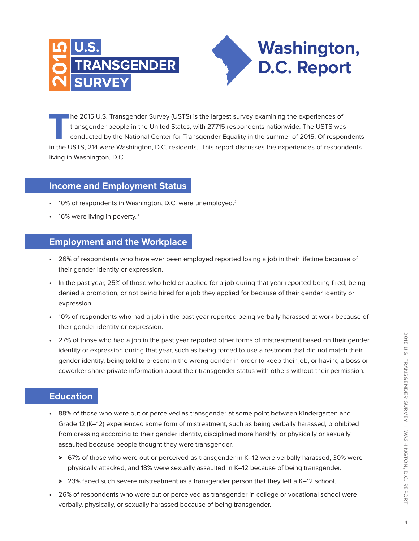

**T**he 2015 U.S. Transgender Survey (USTS) is the largest survey examining the experiences of transgender people in the United States, with 27,715 respondents nationwide. The USTS was conducted by the National Center for Transgender Equality in the summer of 2015. Of respondents in the USTS, 214 were Washington, D.C. residents.1 This report discusses the experiences of respondents living in Washington, D.C.

**Washington,** 

**D.C. Report** 

## **Income and Employment Status**

- $\cdot$  10% of respondents in Washington, D.C. were unemployed.<sup>2</sup>
- $\cdot$  16% were living in poverty.<sup>3</sup>

## **Employment and the Workplace**

- • 26% of respondents who have ever been employed reported losing a job in their lifetime because of their gender identity or expression.
- In the past year, 25% of those who held or applied for a job during that year reported being fired, being denied a promotion, or not being hired for a job they applied for because of their gender identity or expression.
- • 10% of respondents who had a job in the past year reported being verbally harassed at work because of their gender identity or expression.
- 27% of those who had a job in the past year reported other forms of mistreatment based on their gender identity or expression during that year, such as being forced to use a restroom that did not match their gender identity, being told to present in the wrong gender in order to keep their job, or having a boss or coworker share private information about their transgender status with others without their permission.

# **Education**

- • 88% of those who were out or perceived as transgender at some point between Kindergarten and Grade 12 (K–12) experienced some form of mistreatment, such as being verbally harassed, prohibited from dressing according to their gender identity, disciplined more harshly, or physically or sexually assaulted because people thought they were transgender.
	- > 67% of those who were out or perceived as transgender in K–12 were verbally harassed, 30% were physically attacked, and 18% were sexually assaulted in K–12 because of being transgender.
	- $\geq 23\%$  faced such severe mistreatment as a transgender person that they left a K–12 school.
- • 26% of respondents who were out or perceived as transgender in college or vocational school were verbally, physically, or sexually harassed because of being transgender.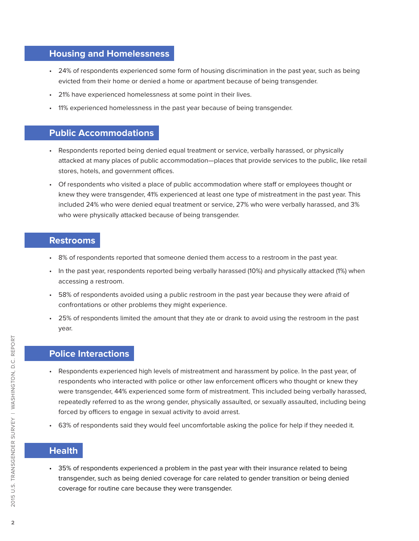## **Housing and Homelessness**

- • 24% of respondents experienced some form of housing discrimination in the past year, such as being evicted from their home or denied a home or apartment because of being transgender.
- 21% have experienced homelessness at some point in their lives.
- • 11% experienced homelessness in the past year because of being transgender.

#### **Public Accommodations**

- • Respondents reported being denied equal treatment or service, verbally harassed, or physically attacked at many places of public accommodation—places that provide services to the public, like retail stores, hotels, and government offices.
- • Of respondents who visited a place of public accommodation where staff or employees thought or knew they were transgender, 41% experienced at least one type of mistreatment in the past year. This included 24% who were denied equal treatment or service, 27% who were verbally harassed, and 3% who were physically attacked because of being transgender.

#### **Restrooms**

- • 8% of respondents reported that someone denied them access to a restroom in the past year.
- • In the past year, respondents reported being verbally harassed (10%) and physically attacked (1%) when accessing a restroom.
- • 58% of respondents avoided using a public restroom in the past year because they were afraid of confrontations or other problems they might experience.
- • 25% of respondents limited the amount that they ate or drank to avoid using the restroom in the past year.

# **Police Interactions**

- • Respondents experienced high levels of mistreatment and harassment by police. In the past year, of respondents who interacted with police or other law enforcement officers who thought or knew they were transgender, 44% experienced some form of mistreatment. This included being verbally harassed, repeatedly referred to as the wrong gender, physically assaulted, or sexually assaulted, including being forced by officers to engage in sexual activity to avoid arrest.
- • 63% of respondents said they would feel uncomfortable asking the police for help if they needed it.

# **Health**

• 35% of respondents experienced a problem in the past year with their insurance related to being transgender, such as being denied coverage for care related to gender transition or being denied coverage for routine care because they were transgender.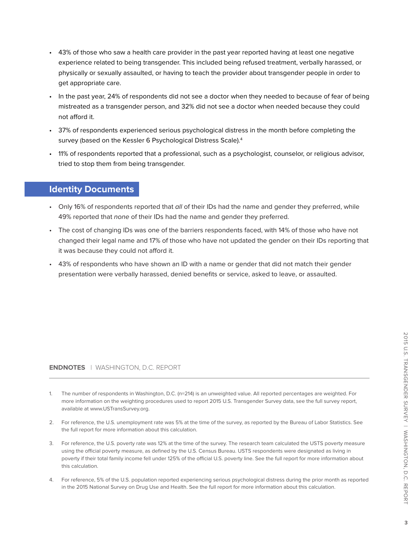- • 43% of those who saw a health care provider in the past year reported having at least one negative experience related to being transgender. This included being refused treatment, verbally harassed, or physically or sexually assaulted, or having to teach the provider about transgender people in order to get appropriate care.
- • In the past year, 24% of respondents did not see a doctor when they needed to because of fear of being mistreated as a transgender person, and 32% did not see a doctor when needed because they could not afford it.
- • 37% of respondents experienced serious psychological distress in the month before completing the survey (based on the Kessler 6 Psychological Distress Scale).<sup>4</sup>
- • 11% of respondents reported that a professional, such as a psychologist, counselor, or religious advisor, tried to stop them from being transgender.

#### **Identity Documents**

- Only 16% of respondents reported that all of their IDs had the name and gender they preferred, while 49% reported that none of their IDs had the name and gender they preferred.
- • The cost of changing IDs was one of the barriers respondents faced, with 14% of those who have not changed their legal name and 17% of those who have not updated the gender on their IDs reporting that it was because they could not afford it.
- • 43% of respondents who have shown an ID with a name or gender that did not match their gender presentation were verbally harassed, denied benefits or service, asked to leave, or assaulted.

#### **ENDNOTES** | WASHINGTON, D.C. REPORT

- 1. The number of respondents in Washington, D.C. (n=214) is an unweighted value. All reported percentages are weighted. For more information on the weighting procedures used to report 2015 U.S. Transgender Survey data, see the full survey report, available at www.USTransSurvey.org.
- 2. For reference, the U.S. unemployment rate was 5% at the time of the survey, as reported by the Bureau of Labor Statistics. See the full report for more information about this calculation.
- 3. For reference, the U.S. poverty rate was 12% at the time of the survey. The research team calculated the USTS poverty measure using the official poverty measure, as defined by the U.S. Census Bureau. USTS respondents were designated as living in poverty if their total family income fell under 125% of the official U.S. poverty line. See the full report for more information about this calculation.
- 4. For reference, 5% of the U.S. population reported experiencing serious psychological distress during the prior month as reported in the 2015 National Survey on Drug Use and Health. See the full report for more information about this calculation.